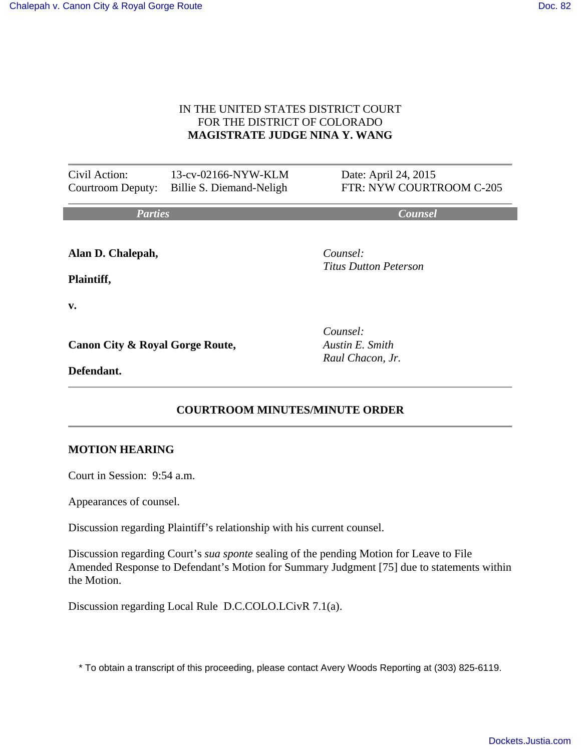#### IN THE UNITED STATES DISTRICT COURT FOR THE DISTRICT OF COLORADO **MAGISTRATE JUDGE NINA Y. WANG**

| Civil Action:<br>Courtroom Deputy:         | 13-cv-02166-NYW-KLM<br>Billie S. Diemand-Neligh | Date: April 24, 2015<br>FTR: NYW COURTROOM C-205 |
|--------------------------------------------|-------------------------------------------------|--------------------------------------------------|
| <b>Parties</b>                             |                                                 | <b>Counsel</b>                                   |
| Alan D. Chalepah,                          |                                                 | Counsel:<br>Titus Dutton Peterson                |
| Plaintiff,                                 |                                                 |                                                  |
| v.                                         |                                                 |                                                  |
| <b>Canon City &amp; Royal Gorge Route,</b> |                                                 | Counsel:<br>Austin E. Smith                      |

**Defendant.**

*Austin E. Smith Raul Chacon, Jr.*

# **COURTROOM MINUTES/MINUTE ORDER**

#### **MOTION HEARING**

Court in Session: 9:54 a.m.

Appearances of counsel.

Discussion regarding Plaintiff's relationship with his current counsel.

Discussion regarding Court's *sua sponte* sealing of the pending Motion for Leave to File Amended Response to Defendant's Motion for Summary Judgment [75] due to statements within the Motion.

Discussion regarding Local Rule D.C.COLO.LCivR 7.1(a).

\* To obtain a transcript of this proceeding, please contact Avery Woods Reporting at (303) 825-6119.